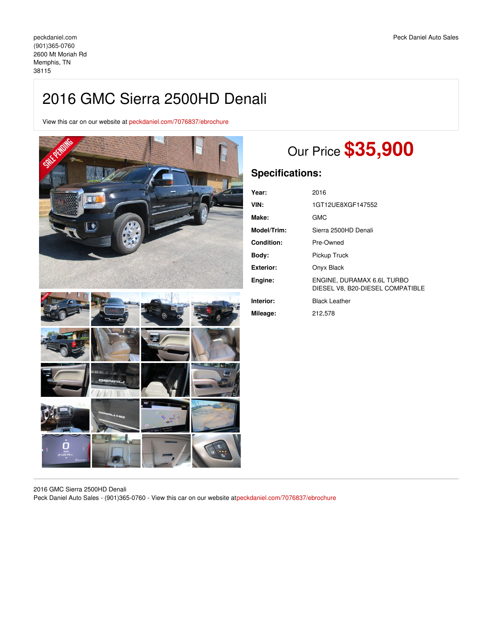View this car on our website at [peckdaniel.com/7076837/ebrochure](https://peckdaniel.com/vehicle/7076837/2016-gmc-sierra-2500hd-denali-memphis-tn-38115/7076837/ebrochure)



# Our Price **\$35,900**

## **Specifications:**

| Year:            | 2016                                                           |
|------------------|----------------------------------------------------------------|
| VIN:             | 1GT12UE8XGF147552                                              |
| Make:            | GMC                                                            |
| Model/Trim:      | Sierra 2500HD Denali                                           |
| Condition:       | Pre-Owned                                                      |
| Body:            | Pickup Truck                                                   |
| <b>Exterior:</b> | Onyx Black                                                     |
| Engine:          | ENGINE, DURAMAX 6.6L TURBO<br>DIESEL V8. B20-DIESEL COMPATIBLE |
| Interior:        | <b>Black Leather</b>                                           |
| Mileage:         | 212,578                                                        |

2016 GMC Sierra 2500HD Denali Peck Daniel Auto Sales - (901)365-0760 - View this car on our website a[tpeckdaniel.com/7076837/ebrochure](https://peckdaniel.com/vehicle/7076837/2016-gmc-sierra-2500hd-denali-memphis-tn-38115/7076837/ebrochure)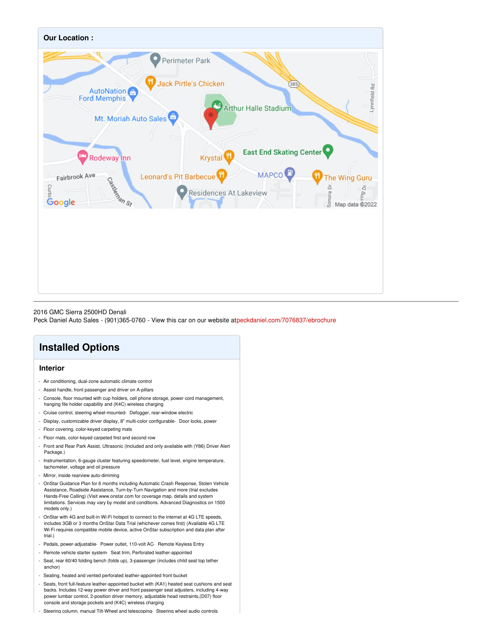

#### 2016 GMC Sierra 2500HD Denali

Peck Daniel Auto Sales - (901)365-0760 - View this car on our website a[tpeckdaniel.com/7076837/ebrochure](https://peckdaniel.com/vehicle/7076837/2016-gmc-sierra-2500hd-denali-memphis-tn-38115/7076837/ebrochure)

## **Installed Options**

### **Interior**

- Air conditioning, dual-zone automatic climate control
- Assist handle, front passenger and driver on A-pillars
- Console, floor mounted with cup holders, cell phone storage, power cord management, hanging file holder capability and (K4C) wireless charging
- Cruise control, steering wheel-mounted- Defogger, rear-window electric
- Display, customizable driver display, 8" multi-color configurable- Door locks, power
- Floor covering, color-keyed carpeting mats
- Floor mats, color-keyed carpeted first and second row
- Front and Rear Park Assist, Ultrasonic (Included and only available with (Y86) Driver Alert Package.)
- Instrumentation, 6-gauge cluster featuring speedometer, fuel level, engine temperature, tachometer, voltage and oil pressure
- Mirror, inside rearview auto-dimming
- OnStar Guidance Plan for 6 months including Automatic Crash Response, Stolen Vehicle Assistance, Roadside Assistance, Turn-by-Turn Navigation and more (trial excludes Hands-Free Calling) (Visit www.onstar.com for coverage map, details and system limitations. Services may vary by model and conditions. Advanced Diagnostics on 1500 models only.)
- OnStar with 4G and built-in Wi-Fi hotspot to connect to the internet at 4G LTE speeds, includes 3GB or 3 months OnStar Data Trial (whichever comes first) (Available 4G LTE Wi-Fi requires compatible mobile device, active OnStar subscription and data plan after trial.)
- Pedals, power-adjustable- Power outlet, 110-volt AC- Remote Keyless Entry
- Remote vehicle starter system- Seat trim, Perforated leather-appointed
- Seat, rear 60/40 folding bench (folds up), 3-passenger (includes child seat top tether anchor)
- Seating, heated and vented perforated leather-appointed front bucket
- Seats, front full-feature leather-appointed bucket with (KA1) heated seat cushions and seat backs. Includes 12-way power driver and front passenger seat adjusters, including 4-way power lumbar control, 2-position driver memory, adjustable head restraints,(D07) floor console and storage pockets and (K4C) wireless charging
- Steering column, manual Tilt-Wheel and telescoping- Steering wheel audio controls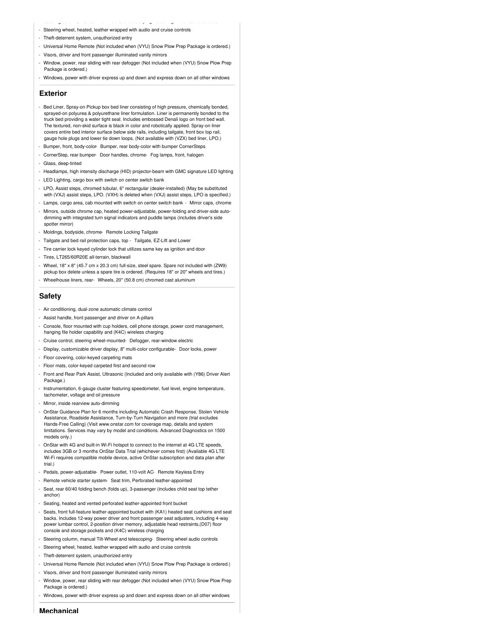- Steering column, manual Tilt-Wheel and telescoping- Steering wheel audio controls
- Steering wheel, heated, leather wrapped with audio and cruise controls
- Theft-deterrent system, unauthorized entry
- Universal Home Remote (Not included when (VYU) Snow Plow Prep Package is ordered.)
- Visors, driver and front passenger illuminated vanity mirrors
- Window, power, rear sliding with rear defogger (Not included when (VYU) Snow Plow Prep Package is ordered.)
- Windows, power with driver express up and down and express down on all other windows

#### **Exterior**

- Bed Liner, Spray-on Pickup box bed liner consisting of high pressure, chemically bonded, sprayed-on polyurea & polyurethane liner formulation. Liner is permanently bonded to the truck bed providing a water tight seal. Includes embossed Denali logo on front bed wall. The textured, non-skid surface is black in color and robotically applied. Spray-on liner covers entire bed interior surface below side rails, including tailgate, front box top rail, gauge hole plugs and lower tie down loops. (Not available with (VZX) bed liner, LPO.)
- Bumper, front, body-color- Bumper, rear body-color with bumper CornerSteps
- CornerStep, rear bumper- Door handles, chrome- Fog lamps, front, halogen
- Glass, deep-tinted
- Headlamps, high intensity discharge (HID) projector-beam with GMC signature LED lighting
- LED Lighting, cargo box with switch on center switch bank
- LPO, Assist steps, chromed tubular, 6" rectangular (dealer-installed) (May be substituted with (VXJ) assist steps, LPO. (VXH) is deleted when (VXJ) assist steps, LPO is specified.)
- Lamps, cargo area, cab mounted with switch on center switch bank Mirror caps, chrome
- Mirrors, outside chrome cap, heated power-adjustable, power-folding and driver-side autodimming with integrated turn signal indicators and puddle lamps (includes driver's side spotter mirror)
- Moldings, bodyside, chrome- Remote Locking Tailgate
- Tailgate and bed rail protection caps, top Tailgate, EZ-Lift and Lower
- Tire carrier lock keyed cylinder lock that utilizes same key as ignition and door
- Tires, LT265/60R20E all-terrain, blackwall
- Wheel, 18" x 8" (45.7 cm x 20.3 cm) full-size, steel spare. Spare not included with (ZW9) pickup box delete unless a spare tire is ordered. (Requires 18" or 20" wheels and tires.)
- Wheelhouse liners, rear- Wheels, 20" (50.8 cm) chromed cast aluminum

#### **Safety**

- Air conditioning, dual-zone automatic climate control
- Assist handle, front passenger and driver on A-pillars
- Console, floor mounted with cup holders, cell phone storage, power cord management, hanging file holder capability and (K4C) wireless charging
- Cruise control, steering wheel-mounted- Defogger, rear-window electric
- Display, customizable driver display, 8" multi-color configurable- Door locks, power
- Floor covering, color-keyed carpeting mats
- Floor mats, color-keyed carpeted first and second row
- Front and Rear Park Assist, Ultrasonic (Included and only available with (Y86) Driver Alert Package.)
- Instrumentation, 6-gauge cluster featuring speedometer, fuel level, engine temperature, tachometer, voltage and oil pressure
- Mirror, inside rearview auto-dimming
- OnStar Guidance Plan for 6 months including Automatic Crash Response, Stolen Vehicle Assistance, Roadside Assistance, Turn-by-Turn Navigation and more (trial excludes Hands-Free Calling) (Visit www.onstar.com for coverage map, details and system limitations. Services may vary by model and conditions. Advanced Diagnostics on 1500 models only.)
- OnStar with 4G and built-in Wi-Fi hotspot to connect to the internet at 4G LTE speeds, includes 3GB or 3 months OnStar Data Trial (whichever comes first) (Available 4G LTE Wi-Fi requires compatible mobile device, active OnStar subscription and data plan after trial.)
- Pedals, power-adjustable- Power outlet, 110-volt AC- Remote Keyless Entry
- Remote vehicle starter system- Seat trim, Perforated leather-appointed
- Seat, rear 60/40 folding bench (folds up), 3-passenger (includes child seat top tether anchor)
- Seating, heated and vented perforated leather-appointed front bucket
- Seats, front full-feature leather-appointed bucket with (KA1) heated seat cushions and seat backs. Includes 12-way power driver and front passenger seat adjusters, including 4-way power lumbar control, 2-position driver memory, adjustable head restraints,(D07) floor console and storage pockets and (K4C) wireless charging
- Steering column, manual Tilt-Wheel and telescoping- Steering wheel audio controls
- Steering wheel, heated, leather wrapped with audio and cruise controls
- Theft-deterrent system, unauthorized entry
- Universal Home Remote (Not included when (VYU) Snow Plow Prep Package is ordered.)
- Visors, driver and front passenger illuminated vanity mirrors
- Window, power, rear sliding with rear defogger (Not included when (VYU) Snow Plow Prep Package is ordered.)
- Windows, power with driver express up and down and express down on all other windows

**Mechanical**